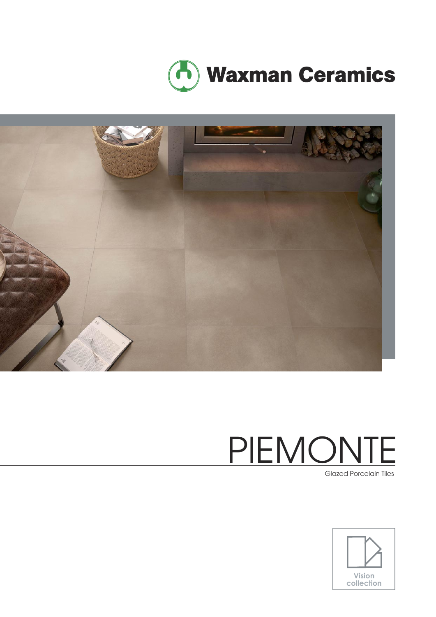



Glazed Porcelain Tiles

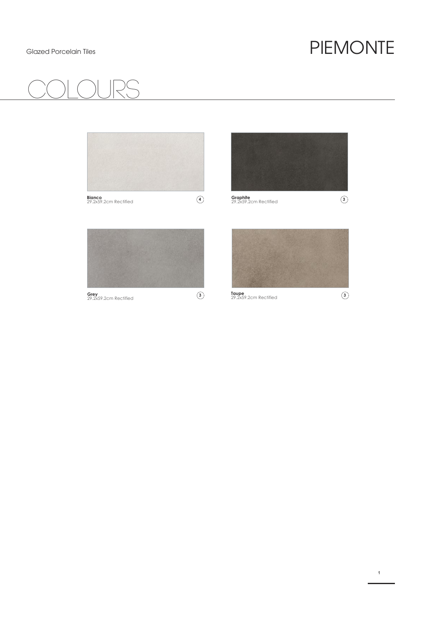# COlours



**1**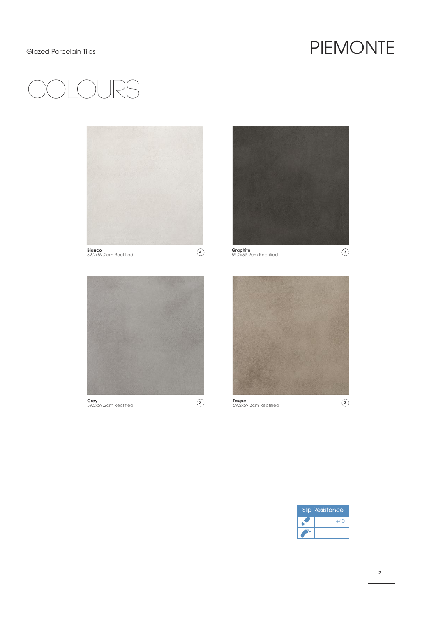# COlours



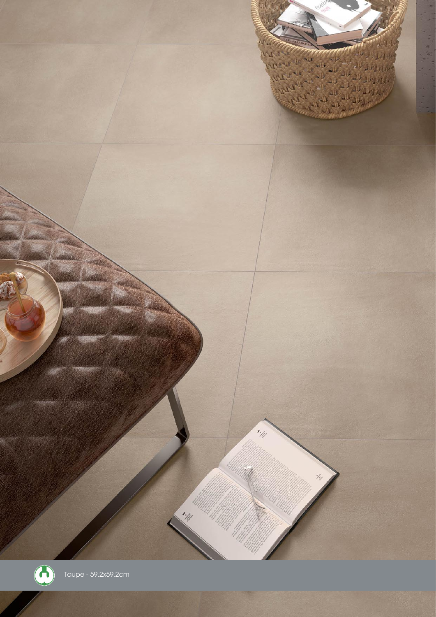

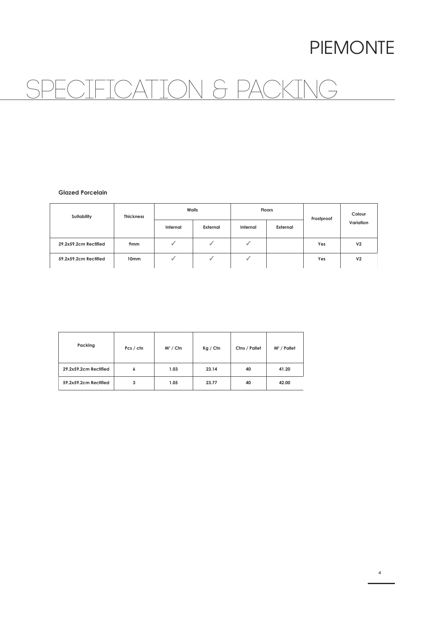## SPECIFICATION & PACKING

#### **Glazed Porcelain**

| Suitability           | <b>Thickness</b> | Walls    |          | <b>Floors</b> |          | Frostproof | Colour         |
|-----------------------|------------------|----------|----------|---------------|----------|------------|----------------|
|                       |                  | Internal | External | Internal      | External |            | Variation      |
| 29.2x59.2cm Rectified | 9 <sub>mm</sub>  |          | ₫        | ы             |          | Yes        | V <sub>2</sub> |
| 59.2x59.2cm Rectified | 10 <sub>mm</sub> |          |          |               |          | Yes        | V <sub>2</sub> |

| Packing               | Pcs / ctn | $M^2 /$ Ctn | Kg / Cfn | Ctns / Pallet | $M^2$ / Pallet |
|-----------------------|-----------|-------------|----------|---------------|----------------|
| 29.2x59.2cm Rectified | 6         | 1.03        | 23.14    | 40            | 41.20          |
| 59.2x59.2cm Rectified | 3         | 1.05        | 23.77    | 40            | 42.00          |